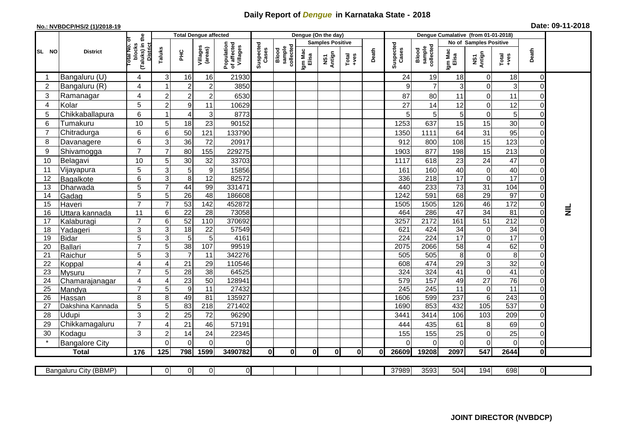## **Daily Report of** *Dengue* **in Karnataka State - 2018**

## **No.: NVBDCP/HS/2 (1)/2018-19 Date: 09-11-2018**

|                                                                                                                                                    | <b>District</b>         |                                                       | <b>Total Dengue affected</b> |                                   |                     |                                       |                    |                              |                         | Dengue (On the day) |          |       |                    |                              |                        |                                    |                      |                            |           |
|----------------------------------------------------------------------------------------------------------------------------------------------------|-------------------------|-------------------------------------------------------|------------------------------|-----------------------------------|---------------------|---------------------------------------|--------------------|------------------------------|-------------------------|---------------------|----------|-------|--------------------|------------------------------|------------------------|------------------------------------|----------------------|----------------------------|-----------|
| SL NO                                                                                                                                              |                         |                                                       |                              |                                   |                     |                                       |                    |                              | <b>Samples Positive</b> |                     |          |       |                    |                              | No of Samples Positive |                                    |                      |                            |           |
|                                                                                                                                                    |                         | (Taluks) in the<br>District<br>lotal No. of<br>blocks | Taluks                       | PНC                               | Villages<br>(areas) | Population<br>of affected<br>Villages | Suspected<br>Cases | Blood<br>sample<br>collected | Igm Mac<br>Elisa        | NS1<br>Antign       | $Totael$ | Death | Suspected<br>Cases | Blood<br>sample<br>collected | Igm Mac<br>Elisa       | NS1<br>Antign                      | Total<br>+ves        | Death                      |           |
|                                                                                                                                                    | Bangaluru (U)           | 4                                                     | 3                            | 16                                | 16                  | 21930                                 |                    |                              |                         |                     |          |       | 24                 | 19                           | 18                     | $\mathbf 0$                        | 18                   | $\Omega$                   |           |
| $\overline{2}$                                                                                                                                     | Bangaluru (R)           | 4                                                     |                              | $\boldsymbol{2}$                  | $\overline{c}$      | 3850                                  |                    |                              |                         |                     |          |       | 9                  | $\overline{7}$               | 3                      | $\boldsymbol{0}$                   | 3                    | 0                          |           |
| 3                                                                                                                                                  | Ramanagar               | $\overline{4}$                                        | $\overline{2}$               | $\overline{2}$                    | $\overline{c}$      | 6530                                  |                    |                              |                         |                     |          |       | 87                 | 80                           | 11                     | $\mathbf 0$                        | 11                   | $\Omega$                   |           |
| $\overline{4}$                                                                                                                                     | Kolar                   | 5                                                     | $\overline{2}$               | $\boldsymbol{9}$                  | 11                  | 10629                                 |                    |                              |                         |                     |          |       | 27                 | 14                           | 12                     | $\mathbf 0$                        | 12                   | $\Omega$                   |           |
| 5                                                                                                                                                  | Chikkaballapura         | 6                                                     | 1                            | 4                                 | 3                   | 8773                                  |                    |                              |                         |                     |          |       |                    | $\mathbf 5$                  | 5                      | $\boldsymbol{0}$                   | 5                    | $\Omega$                   |           |
| 6                                                                                                                                                  | Tumakuru                | 10                                                    | 5                            | 18                                | 23                  | 90152                                 |                    |                              |                         |                     |          |       | 1253               | 637                          | 15                     | 15                                 | 30                   | $\Omega$                   |           |
| 7                                                                                                                                                  | Chitradurga             | 6                                                     | $\,6$                        | 50                                | 121                 | 133790                                |                    |                              |                         |                     |          |       | 1350               | 1111                         | 64                     | 31                                 | 95                   | $\Omega$                   |           |
| 8                                                                                                                                                  | Davanagere              | 6                                                     | 3                            | 36                                | 72                  | 20917                                 |                    |                              |                         |                     |          |       | 912                | 800                          | 108                    | 15                                 | 123                  | $\overline{0}$             |           |
| 9                                                                                                                                                  | Shivamogga              | $\overline{7}$                                        | $\overline{7}$               | 80                                | 155                 | 229275                                |                    |                              |                         |                     |          |       | 1903               | 877                          | 198                    | 15                                 | 213                  | $\Omega$                   |           |
| 10                                                                                                                                                 | Belagavi                | 10                                                    | 5                            | 30                                | 32                  | 33703                                 |                    |                              |                         |                     |          |       | 1117               | 618                          | 23                     | 24                                 | 47                   | $\mathbf 0$                |           |
| 11                                                                                                                                                 | Vijayapura              | 5                                                     | 3                            | 5                                 | $\boldsymbol{9}$    | 15856                                 |                    |                              |                         |                     |          |       | 161                | 160                          | 40                     | $\mathbf 0$                        | 40                   | $\mathbf 0$                |           |
| 12                                                                                                                                                 | Bagalkote               | 6                                                     | 3                            | 8                                 | 12                  | 82572                                 |                    |                              |                         |                     |          |       | 336                | 218                          | 17                     | $\mathbf 0$                        | $\overline{17}$      | $\Omega$                   |           |
| 13                                                                                                                                                 | Dharwada                | 5                                                     | $\overline{7}$               | 44                                | 99                  | 331471                                |                    |                              |                         |                     |          |       | 440                | 233                          | 73                     | 31                                 | 104                  | $\Omega$                   |           |
| 14                                                                                                                                                 | Gadag                   | $\overline{5}$                                        | 5                            | $\overline{26}$                   | $\overline{48}$     | 186608                                |                    |                              |                         |                     |          |       | 1242               | 591                          | 68                     | 29                                 | 97                   | $\Omega$                   |           |
| 15                                                                                                                                                 | Haveri                  | $\overline{7}$                                        | $\overline{7}$               | 53                                | 142                 | 452872                                |                    |                              |                         |                     |          |       | 1505               | 1505                         | 126                    | 46                                 | $\frac{1}{172}$      | $\overline{0}$             |           |
| 16                                                                                                                                                 | Uttara kannada          | 11                                                    | $\,6$                        | $\overline{22}$                   | 28                  | 73058                                 |                    |                              |                         |                     |          |       | 464                | 286                          | $\overline{47}$        | 34                                 | $\overline{81}$      | $\Omega$                   | $\vec{z}$ |
| 17                                                                                                                                                 | Kalaburagi              | $\overline{7}$                                        | $6\phantom{1}6$              | 52                                | 110                 | 370692                                |                    |                              |                         |                     |          |       | 3257               | 2172                         | 161                    | 51                                 | $\overline{212}$     | 0                          |           |
| 18                                                                                                                                                 | Yadageri                | 3                                                     | 3                            | $\overline{18}$                   | 22                  | 57549                                 |                    |                              |                         |                     |          |       | 621                | 424                          | 34                     | $\boldsymbol{0}$                   | 34                   | $\Omega$                   |           |
| 19                                                                                                                                                 | <b>Bidar</b>            | 5                                                     | $\overline{3}$               | $\overline{5}$                    | $\overline{5}$      | 4161                                  |                    |                              |                         |                     |          |       | $\overline{224}$   | $\overline{224}$             | 17                     | $\overline{0}$                     | 17                   | $\Omega$                   |           |
| 20                                                                                                                                                 | Ballari                 | $\overline{7}$                                        | 5                            | 38                                | 107                 | 99519                                 |                    |                              |                         |                     |          |       | 2075               | 2066                         | 58                     | $\overline{\mathbf{4}}$            | 62                   | $\mathbf 0$                |           |
| 21<br>22                                                                                                                                           | Raichur                 | 5<br>$\overline{4}$                                   | 3<br>4                       | $\overline{7}$<br>$\overline{21}$ | 11<br>29            | 342276<br>110546                      |                    |                              |                         |                     |          |       | 505<br>608         | 505<br>474                   | 8<br>$\overline{29}$   | $\boldsymbol{0}$<br>$\overline{3}$ | $\overline{8}$<br>32 | $\mathbf 0$<br>$\mathbf 0$ |           |
| 23                                                                                                                                                 | Koppal<br><b>Mysuru</b> | $\overline{7}$                                        | 5                            | $\overline{28}$                   | 38                  | 64525                                 |                    |                              |                         |                     |          |       | 324                | 324                          | 41                     | $\mathbf 0$                        | $\overline{41}$      | $\Omega$                   |           |
| 24                                                                                                                                                 | Chamarajanagar          | 4                                                     | $\overline{4}$               | 23                                | $\overline{50}$     | 128941                                |                    |                              |                         |                     |          |       | 579                | 157                          | 49                     | 27                                 | 76                   | $\mathbf 0$                |           |
| 25                                                                                                                                                 | Mandya                  | $\overline{7}$                                        | 5                            | $\overline{9}$                    | 11                  | 27432                                 |                    |                              |                         |                     |          |       | 245                | 245                          | 11                     | $\pmb{0}$                          | 11                   | $\mathbf 0$                |           |
| 26                                                                                                                                                 | Hassan                  | 8                                                     | 8                            | 49                                | 81                  | 135927                                |                    |                              |                         |                     |          |       | 1606               | 599                          | 237                    | $\overline{6}$                     | $\overline{243}$     | $\mathbf 0$                |           |
| 27                                                                                                                                                 | Dakshina Kannada        | 5                                                     | 5                            | 83                                | 218                 | 271402                                |                    |                              |                         |                     |          |       | 1690               | 853                          | 432                    | $\frac{105}{105}$                  | 537                  | $\overline{0}$             |           |
| 28                                                                                                                                                 | Udupi                   | 3                                                     | $\overline{2}$               | 25                                | 72                  | 96290                                 |                    |                              |                         |                     |          |       | 3441               | 3414                         | 106                    | 103                                | 209                  | $\Omega$                   |           |
| 29                                                                                                                                                 | Chikkamagaluru          | $\overline{7}$                                        | 4                            | 21                                | 46                  | 57191                                 |                    |                              |                         |                     |          |       | 444                | 435                          | 61                     | 8                                  | 69                   | $\Omega$                   |           |
| 30                                                                                                                                                 | Kodagu                  | 3                                                     | $\overline{2}$               | 14                                | 24                  | 22345                                 |                    |                              |                         |                     |          |       | 155                | 155                          | 25                     | $\pmb{0}$                          | 25                   | $\mathbf 0$                |           |
|                                                                                                                                                    | <b>Bangalore City</b>   |                                                       | $\Omega$                     | $\mathbf{0}$                      | $\Omega$            | 0                                     |                    |                              |                         |                     |          |       |                    | $\Omega$                     | 0                      | $\overline{0}$                     | $\mathbf 0$          | $\overline{0}$             |           |
|                                                                                                                                                    | <b>Total</b>            | 176                                                   | 125                          | 798                               | 1599                | 3490782                               | 0                  | $\mathbf{0}$                 | 0I                      | $\mathbf{0}$        | 0I       | 0l    | 26609              | 19208                        | 2097                   | 547                                | 2644                 | Οl                         |           |
|                                                                                                                                                    |                         |                                                       |                              |                                   |                     |                                       |                    |                              |                         |                     |          |       |                    |                              |                        |                                    |                      |                            |           |
| 0 <br>37989<br>3593<br>504<br>194<br>698<br>$\overline{\mathsf{d}}$<br>Bangaluru City (BBMP)<br>$\overline{0}$<br>$\overline{0}$<br>$\overline{0}$ |                         |                                                       |                              |                                   |                     |                                       |                    |                              |                         |                     |          |       |                    |                              |                        |                                    |                      |                            |           |